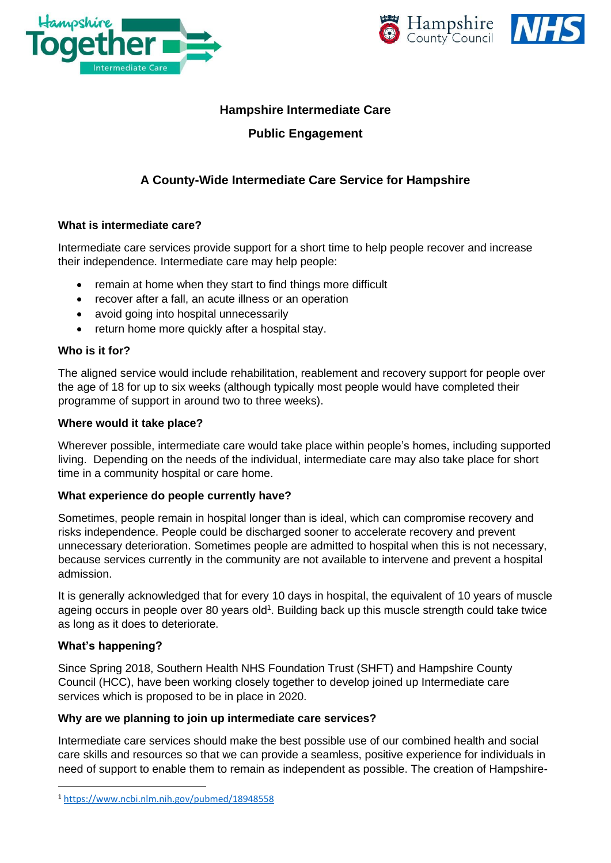





## **Hampshire Intermediate Care**

## **Public Engagement**

# **A County-Wide Intermediate Care Service for Hampshire**

## **What is intermediate care?**

Intermediate care services provide support for a short time to help people recover and increase their independence. Intermediate care may help people:

- remain at home when they start to find things more difficult
- recover after a fall, an acute illness or an operation
- avoid going into hospital unnecessarily
- return home more quickly after a hospital stay.

#### **Who is it for?**

The aligned service would include rehabilitation, reablement and recovery support for people over the age of 18 for up to six weeks (although typically most people would have completed their programme of support in around two to three weeks).

#### **Where would it take place?**

Wherever possible, intermediate care would take place within people's homes, including supported living. Depending on the needs of the individual, intermediate care may also take place for short time in a community hospital or care home.

#### **What experience do people currently have?**

Sometimes, people remain in hospital longer than is ideal, which can compromise recovery and risks independence. People could be discharged sooner to accelerate recovery and prevent unnecessary deterioration. Sometimes people are admitted to hospital when this is not necessary, because services currently in the community are not available to intervene and prevent a hospital admission.

It is generally acknowledged that for every 10 days in hospital, the equivalent of 10 years of muscle ageing occurs in people over 80 years old<sup>1</sup>. Building back up this muscle strength could take twice as long as it does to deteriorate.

#### **What's happening?**

Since Spring 2018, Southern Health NHS Foundation Trust (SHFT) and Hampshire County Council (HCC), have been working closely together to develop joined up Intermediate care services which is proposed to be in place in 2020.

#### **Why are we planning to join up intermediate care services?**

Intermediate care services should make the best possible use of our combined health and social care skills and resources so that we can provide a seamless, positive experience for individuals in need of support to enable them to remain as independent as possible. The creation of Hampshire-

<sup>1</sup> <https://www.ncbi.nlm.nih.gov/pubmed/18948558>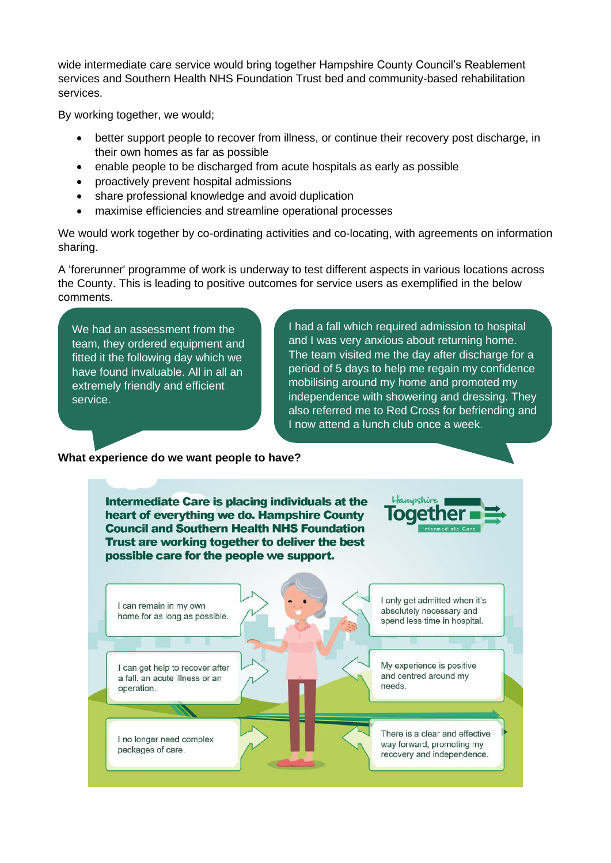wide intermediate care service would bring together Hampshire County Council's Reablement services and Southern Health NHS Foundation Trust bed and community-based rehabilitation services.

By working together, we would;

- better support people to recover from illness, or continue their recovery post discharge, in their own homes as far as possible
- enable people to be discharged from acute hospitals as early as possible
- proactively prevent hospital admissions
- share professional knowledge and avoid duplication
- maximise efficiencies and streamline operational processes

We would work together by co-ordinating activities and co-locating, with agreements on information sharing.

A 'forerunner' programme of work is underway to test different aspects in various locations across the County. This is leading to positive outcomes for service users as exemplified in the below comments.

We had an assessment from the team, they ordered equipment and fitted it the following day which we have found invaluable. All in all an extremely friendly and efficient service.

I had a fall which required admission to hospital and I was very anxious about returning home. The team visited me the day after discharge for a period of 5 days to help me regain my confidence mobilising around my home and promoted my independence with showering and dressing. They also referred me to Red Cross for befriending and I now attend a lunch club once a week.

#### **What experience do we want people to have?**

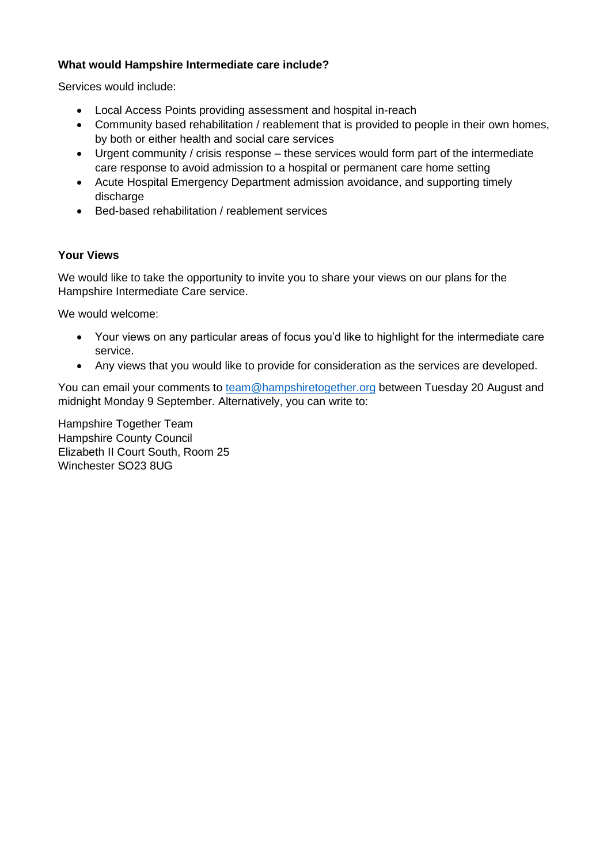## **What would Hampshire Intermediate care include?**

Services would include:

- Local Access Points providing assessment and hospital in-reach
- Community based rehabilitation / reablement that is provided to people in their own homes, by both or either health and social care services
- Urgent community / crisis response these services would form part of the intermediate care response to avoid admission to a hospital or permanent care home setting
- Acute Hospital Emergency Department admission avoidance, and supporting timely discharge
- Bed-based rehabilitation / reablement services

## **Your Views**

We would like to take the opportunity to invite you to share your views on our plans for the Hampshire Intermediate Care service.

We would welcome:

- Your views on any particular areas of focus you'd like to highlight for the intermediate care service.
- Any views that you would like to provide for consideration as the services are developed.

You can email your comments to [team@hampshiretogether.org](mailto:team@hampshiretogether.org) between Tuesday 20 August and midnight Monday 9 September. Alternatively, you can write to:

Hampshire Together Team Hampshire County Council Elizabeth II Court South, Room 25 Winchester SO23 8UG